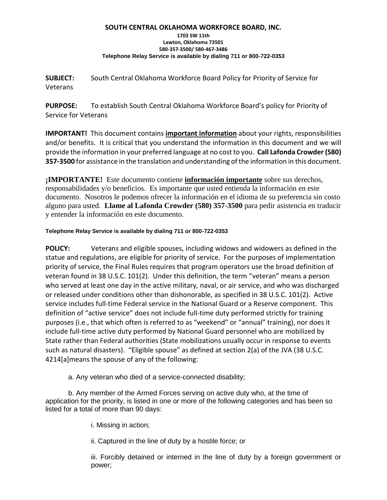### **SOUTH CENTRAL OKLAHOMA WORKFORCE BOARD, INC.**

#### **1703 SW 11th Lawton, Oklahoma 73501 580-357-3500/ 580-467-3486 Telephone Relay Service is available by dialing 711 or 800-722-0353**

**SUBJECT:** South Central Oklahoma Workforce Board Policy for Priority of Service for Veterans

**PURPOSE:** To establish South Central Oklahoma Workforce Board's policy for Priority of Service for Veterans

**IMPORTANT!** This document contains **important information** about your rights, responsibilities and/or benefits. It is critical that you understand the information in this document and we will provide the information in your preferred language at no cost to you. **Call Lafonda Crowder (580) 357-3500** for assistance in the translation and understanding of the information in this document.

**¡IMPORTANTE!** Este documento contiene **información importante** sobre sus derechos, responsabilidades y/o beneficios. Es importante que usted entienda la información en este documento. Nosotros le podemos ofrecer la información en el idioma de su preferencia sin costo alguno para usted. **Llame al Lafonda Crowder (580) 357-3500** para pedir asistencia en traducir y entender la información en este documento.

## **Telephone Relay Service is available by dialing 711 or 800-722-0353**

**POLICY:** Veterans and eligible spouses, including widows and widowers as defined in the statue and regulations, are eligible for priority of service. For the purposes of implementation priority of service, the Final Rules requires that program operators use the broad definition of veteran found in 38 U.S.C. 101(2). Under this definition, the term "veteran" means a person who served at least one day in the active military, naval, or air service, and who was discharged or released under conditions other than dishonorable, as specified in 38 U.S.C. 101(2). Active service includes full-time Federal service in the National Guard or a Reserve component. This definition of "active service" does not include full-time duty performed strictly for training purposes (i.e., that which often is referred to as "weekend" or "annual" training), nor does it include full-time active duty performed by National Guard personnel who are mobilized by State rather than Federal authorities (State mobilizations usually occur in response to events such as natural disasters). "Eligible spouse" as defined at section 2(a) of the JVA (38 U.S.C. 4214[a]means the spouse of any of the following:

a. Any veteran who died of a service-connected disability;

b. Any member of the Armed Forces serving on active duty who, at the time of application for the priority, is listed in one or more of the following categories and has been so listed for a total of more than 90 days:

i. Missing in action;

ii. Captured in the line of duty by a hostile force; or

iii. Forcibly detained or interned in the line of duty by a foreign government or power;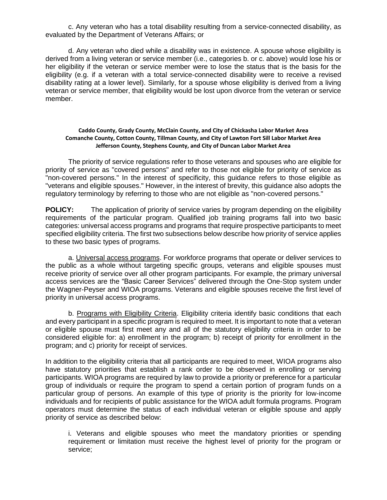c. Any veteran who has a total disability resulting from a service-connected disability, as evaluated by the Department of Veterans Affairs; or

d. Any veteran who died while a disability was in existence. A spouse whose eligibility is derived from a living veteran or service member (i.e., categories b. or c. above) would lose his or her eligibility if the veteran or service member were to lose the status that is the basis for the eligibility (e.g. if a veteran with a total service-connected disability were to receive a revised disability rating at a lower level). Similarly, for a spouse whose eligibility is derived from a living veteran or service member, that eligibility would be lost upon divorce from the veteran or service member.

### **Caddo County, Grady County, McClain County, and City of Chickasha Labor Market Area Comanche County, Cotton County, Tillman County, and City of Lawton Fort Sill Labor Market Area Jefferson County, Stephens County, and City of Duncan Labor Market Area**

The priority of service regulations refer to those veterans and spouses who are eligible for priority of service as "covered persons" and refer to those not eligible for priority of service as "non-covered persons." In the interest of specificity, this guidance refers to those eligible as "veterans and eligible spouses." However, in the interest of brevity, this guidance also adopts the regulatory terminology by referring to those who are not eligible as "non-covered persons."

**POLICY:** The application of priority of service varies by program depending on the eligibility requirements of the particular program. Qualified job training programs fall into two basic categories: universal access programs and programs that require prospective participants to meet specified eligibility criteria. The first two subsections below describe how priority of service applies to these two basic types of programs.

a. Universal access programs. For workforce programs that operate or deliver services to the public as a whole without targeting specific groups, veterans and eligible spouses must receive priority of service over all other program participants. For example, the primary universal access services are the "Basic Career Services" delivered through the One-Stop system under the Wagner-Peyser and WIOA programs. Veterans and eligible spouses receive the first level of priority in universal access programs.

b. Programs with Eligibility Criteria. Eligibility criteria identify basic conditions that each and every participant in a specific program is required to meet. It is important to note that a veteran or eligible spouse must first meet any and all of the statutory eligibility criteria in order to be considered eligible for: a) enrollment in the program; b) receipt of priority for enrollment in the program; and c) priority for receipt of services.

In addition to the eligibility criteria that all participants are required to meet, WIOA programs also have statutory priorities that establish a rank order to be observed in enrolling or serving participants. WIOA programs are required by law to provide a priority or preference for a particular group of individuals or require the program to spend a certain portion of program funds on a particular group of persons. An example of this type of priority is the priority for low-income individuals and for recipients of public assistance for the WIOA adult formula programs. Program operators must determine the status of each individual veteran or eligible spouse and apply priority of service as described below:

i. Veterans and eligible spouses who meet the mandatory priorities or spending requirement or limitation must receive the highest level of priority for the program or service;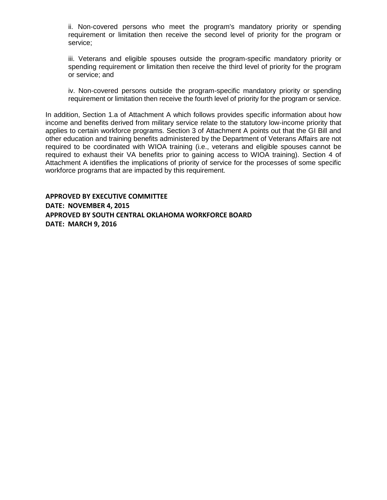ii. Non-covered persons who meet the program's mandatory priority or spending requirement or limitation then receive the second level of priority for the program or service;

iii. Veterans and eligible spouses outside the program-specific mandatory priority or spending requirement or limitation then receive the third level of priority for the program or service; and

iv. Non-covered persons outside the program-specific mandatory priority or spending requirement or limitation then receive the fourth level of priority for the program or service.

In addition, Section 1.a of Attachment A which follows provides specific information about how income and benefits derived from military service relate to the statutory low-income priority that applies to certain workforce programs. Section 3 of Attachment A points out that the GI Bill and other education and training benefits administered by the Department of Veterans Affairs are not required to be coordinated with WIOA training (i.e., veterans and eligible spouses cannot be required to exhaust their VA benefits prior to gaining access to WIOA training). Section 4 of Attachment A identifies the implications of priority of service for the processes of some specific workforce programs that are impacted by this requirement.

**APPROVED BY EXECUTIVE COMMITTEE DATE: NOVEMBER 4, 2015 APPROVED BY SOUTH CENTRAL OKLAHOMA WORKFORCE BOARD DATE: MARCH 9, 2016**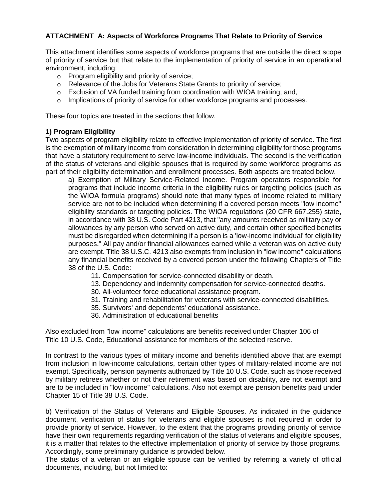# **ATTACHMENT A: Aspects of Workforce Programs That Relate to Priority of Service**

This attachment identifies some aspects of workforce programs that are outside the direct scope of priority of service but that relate to the implementation of priority of service in an operational environment, including:

- o Program eligibility and priority of service;
- o Relevance of the Jobs for Veterans State Grants to priority of service;
- $\circ$  Exclusion of VA funded training from coordination with WIOA training; and,
- $\circ$  Implications of priority of service for other workforce programs and processes.

These four topics are treated in the sections that follow.

## **1) Program Eligibility**

Two aspects of program eligibility relate to effective implementation of priority of service. The first is the exemption of military income from consideration in determining eligibility for those programs that have a statutory requirement to serve low-income individuals. The second is the verification of the status of veterans and eligible spouses that is required by some workforce programs as part of their eligibility determination and enrollment processes. Both aspects are treated below.

a) Exemption of Military Service-Related Income. Program operators responsible for programs that include income criteria in the eligibility rules or targeting policies (such as the WIOA formula programs) should note that many types of income related to military service are not to be included when determining if a covered person meets "low income" eligibility standards or targeting policies. The WIOA regulations (20 CFR 667.255) state, in accordance with 38 U.S. Code Part 4213, that "any amounts received as military pay or allowances by any person who served on active duty, and certain other specified benefits must be disregarded when determining if a person is a 'low-income individual' for eligibility purposes." All pay and/or financial allowances earned while a veteran was on active duty are exempt. Title 38 U.S.C. 4213 also exempts from inclusion in "low income" calculations any financial benefits received by a covered person under the following Chapters of Title 38 of the U.S. Code:

- 11. Compensation for service-connected disability or death.
- 13. Dependency and indemnity compensation for service-connected deaths.
- 30. All-volunteer force educational assistance program.
- 31. Training and rehabilitation for veterans with service-connected disabilities.
- 35. Survivors' and dependents' educational assistance.
- 36. Administration of educational benefits

Also excluded from "low income" calculations are benefits received under Chapter 106 of Title 10 U.S. Code, Educational assistance for members of the selected reserve.

In contrast to the various types of military income and benefits identified above that are exempt from inclusion in low-income calculations, certain other types of military-related income are not exempt. Specifically, pension payments authorized by Title 10 U.S. Code, such as those received by military retirees whether or not their retirement was based on disability, are not exempt and are to be included in "low income" calculations. Also not exempt are pension benefits paid under Chapter 15 of Title 38 U.S. Code.

b) Verification of the Status of Veterans and Eligible Spouses. As indicated in the guidance document, verification of status for veterans and eligible spouses is not required in order to provide priority of service. However, to the extent that the programs providing priority of service have their own requirements regarding verification of the status of veterans and eligible spouses, it is a matter that relates to the effective implementation of priority of service by those programs. Accordingly, some preliminary guidance is provided below.

The status of a veteran or an eligible spouse can be verified by referring a variety of official documents, including, but not limited to: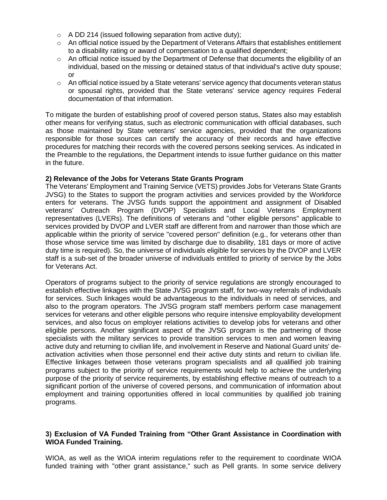- $\circ$  A DD 214 (issued following separation from active duty);
- $\circ$  An official notice issued by the Department of Veterans Affairs that establishes entitlement to a disability rating or award of compensation to a qualified dependent;
- o An official notice issued by the Department of Defense that documents the eligibility of an individual, based on the missing or detained status of that individual's active duty spouse; or
- $\circ$  An official notice issued by a State veterans' service agency that documents veteran status or spousal rights, provided that the State veterans' service agency requires Federal documentation of that information.

To mitigate the burden of establishing proof of covered person status, States also may establish other means for verifying status, such as electronic communication with official databases, such as those maintained by State veterans' service agencies, provided that the organizations responsible for those sources can certify the accuracy of their records and have effective procedures for matching their records with the covered persons seeking services. As indicated in the Preamble to the regulations, the Department intends to issue further guidance on this matter in the future.

## **2) Relevance of the Jobs for Veterans State Grants Program**

The Veterans' Employment and Training Service (VETS) provides Jobs for Veterans State Grants JVSG) to the States to support the program activities and services provided by the Workforce enters for veterans. The JVSG funds support the appointment and assignment of Disabled veterans' Outreach Program (DVOP) Specialists and Local Veterans Employment representatives (LVERs). The definitions of veterans and "other eligible persons" applicable to services provided by DVOP and LVER staff are different from and narrower than those which are applicable within the priority of service "covered person" definition (e.g., for veterans other than those whose service time was limited by discharge due to disability, 181 days or more of active duty time is required). So, the universe of individuals eligible for services by the DVOP and LVER staff is a sub-set of the broader universe of individuals entitled to priority of service by the Jobs for Veterans Act.

Operators of programs subject to the priority of service regulations are strongly encouraged to establish effective linkages with the State JVSG program staff, for two-way referrals of individuals for services. Such linkages would be advantageous to the individuals in need of services, and also to the program operators. The JVSG program staff members perform case management services for veterans and other eligible persons who require intensive employability development services, and also focus on employer relations activities to develop jobs for veterans and other eligible persons. Another significant aspect of the JVSG program is the partnering of those specialists with the military services to provide transition services to men and women leaving active duty and returning to civilian life, and involvement in Reserve and National Guard units' deactivation activities when those personnel end their active duty stints and return to civilian life. Effective linkages between those veterans program specialists and all qualified job training programs subject to the priority of service requirements would help to achieve the underlying purpose of the priority of service requirements, by establishing effective means of outreach to a significant portion of the universe of covered persons, and communication of information about employment and training opportunities offered in local communities by qualified job training programs.

## **3) Exclusion of VA Funded Training from "Other Grant Assistance in Coordination with WIOA Funded Training.**

WIOA, as well as the WIOA interim regulations refer to the requirement to coordinate WIOA funded training with "other grant assistance," such as Pell grants. In some service delivery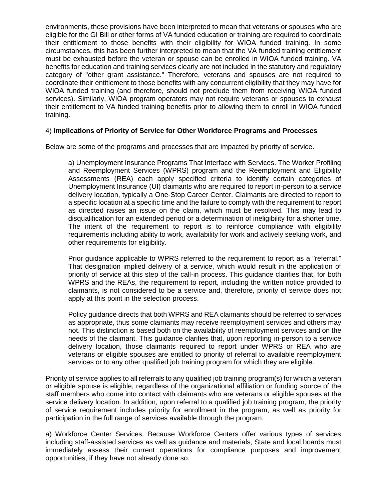environments, these provisions have been interpreted to mean that veterans or spouses who are eligible for the GI Bill or other forms of VA funded education or training are required to coordinate their entitlement to those benefits with their eligibility for WIOA funded training. In some circumstances, this has been further interpreted to mean that the VA funded training entitlement must be exhausted before the veteran or spouse can be enrolled in WIOA funded training. VA benefits for education and training services clearly are not included in the statutory and regulatory category of "other grant assistance." Therefore, veterans and spouses are not required to coordinate their entitlement to those benefits with any concurrent eligibility that they may have for WIOA funded training (and therefore, should not preclude them from receiving WIOA funded services). Similarly, WIOA program operators may not require veterans or spouses to exhaust their entitlement to VA funded training benefits prior to allowing them to enroll in WIOA funded training.

## 4) **Implications of Priority of Service for Other Workforce Programs and Processes**

Below are some of the programs and processes that are impacted by priority of service.

a) Unemployment Insurance Programs That Interface with Services. The Worker Profiling and Reemployment Services (WPRS) program and the Reemployment and Eligibility Assessments (REA) each apply specified criteria to identify certain categories of Unemployment Insurance (UI) claimants who are required to report in-person to a service delivery location, typically a One-Stop Career Center. Claimants are directed to report to a specific location at a specific time and the failure to comply with the requirement to report as directed raises an issue on the claim, which must be resolved. This may lead to disqualification for an extended period or a determination of ineligibility for a shorter time. The intent of the requirement to report is to reinforce compliance with eligibility requirements including ability to work, availability for work and actively seeking work, and other requirements for eligibility.

Prior guidance applicable to WPRS referred to the requirement to report as a "referral." That designation implied delivery of a service, which would result in the application of priority of service at this step of the call-in process. This guidance clarifies that, for both WPRS and the REAs, the requirement to report, including the written notice provided to claimants, is not considered to be a service and, therefore, priority of service does not apply at this point in the selection process.

Policy guidance directs that both WPRS and REA claimants should be referred to services as appropriate, thus some claimants may receive reemployment services and others may not. This distinction is based both on the availability of reemployment services and on the needs of the claimant. This guidance clarifies that, upon reporting in-person to a service delivery location, those claimants required to report under WPRS or REA who are veterans or eligible spouses are entitled to priority of referral to available reemployment services or to any other qualified job training program for which they are eligible.

Priority of service applies to all referrals to any qualified job training program(s) for which a veteran or eligible spouse is eligible, regardless of the organizational affiliation or funding source of the staff members who come into contact with claimants who are veterans or eligible spouses at the service delivery location. In addition, upon referral to a qualified job training program, the priority of service requirement includes priority for enrollment in the program, as well as priority for participation in the full range of services available through the program.

a) Workforce Center Services. Because Workforce Centers offer various types of services including staff-assisted services as well as guidance and materials, State and local boards must immediately assess their current operations for compliance purposes and improvement opportunities, if they have not already done so.